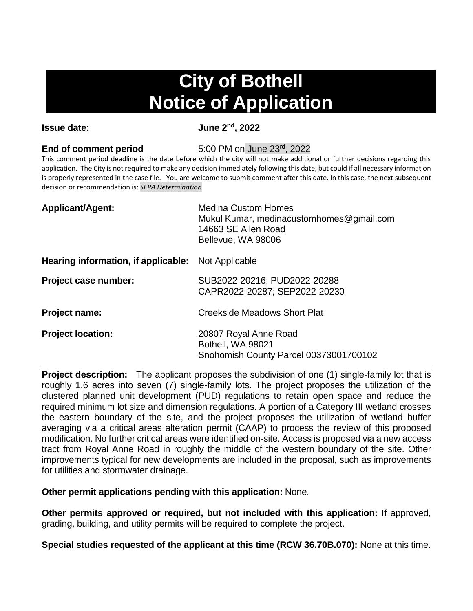## **City of Bothell Notice of Application**

**Issue date: June 2nd, 2022**

## **End of comment period** 5:00 PM on June 23rd, 2022

This comment period deadline is the date before which the city will not make additional or further decisions regarding this application. The City is not required to make any decision immediately following this date, but could if all necessary information is properly represented in the case file. You are welcome to submit comment after this date. In this case, the next subsequent decision or recommendation is: *SEPA Determination*

| <b>Applicant/Agent:</b>             | <b>Medina Custom Homes</b><br>Mukul Kumar, medinacustomhomes@gmail.com<br>14663 SE Allen Road<br>Bellevue, WA 98006 |
|-------------------------------------|---------------------------------------------------------------------------------------------------------------------|
| Hearing information, if applicable: | Not Applicable                                                                                                      |
| Project case number:                | SUB2022-20216; PUD2022-20288<br>CAPR2022-20287; SEP2022-20230                                                       |
| <b>Project name:</b>                | <b>Creekside Meadows Short Plat</b>                                                                                 |
| <b>Project location:</b>            | 20807 Royal Anne Road<br>Bothell, WA 98021<br>Snohomish County Parcel 00373001700102                                |

**Project description:** The applicant proposes the subdivision of one (1) single-family lot that is roughly 1.6 acres into seven (7) single-family lots. The project proposes the utilization of the clustered planned unit development (PUD) regulations to retain open space and reduce the required minimum lot size and dimension regulations. A portion of a Category III wetland crosses the eastern boundary of the site, and the project proposes the utilization of wetland buffer averaging via a critical areas alteration permit (CAAP) to process the review of this proposed modification. No further critical areas were identified on-site. Access is proposed via a new access tract from Royal Anne Road in roughly the middle of the western boundary of the site. Other improvements typical for new developments are included in the proposal, such as improvements for utilities and stormwater drainage.

**Other permit applications pending with this application:** None.

**Other permits approved or required, but not included with this application:** If approved, grading, building, and utility permits will be required to complete the project.

**Special studies requested of the applicant at this time (RCW 36.70B.070):** None at this time.